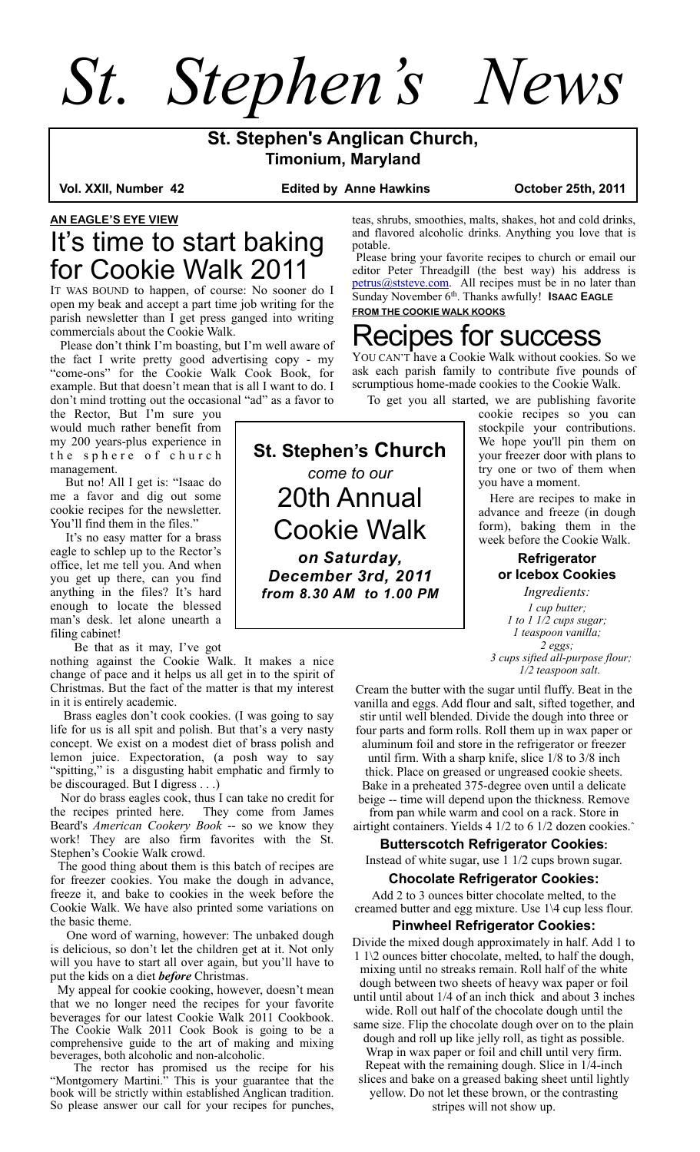*St. Stephen's News*

## **St. Stephen's Anglican Church, Timonium, Maryland**

**Edited by Anne Hawkins Collact Device 25th, 2011** 

### **AN EAGLE'S EYE VIEW** It's time to start baking for Cookie Walk 2011

IT WAS BOUND to happen, of course: No sooner do I open my beak and accept a part time job writing for the parish newsletter than I get press ganged into writing commercials about the Cookie Walk.

 Please don't think I'm boasting, but I'm well aware of the fact I write pretty good advertising copy - my "come-ons" for the Cookie Walk Cook Book, for example. But that doesn't mean that is all I want to do. I don't mind trotting out the occasional "ad" as a favor to

the Rector, But I'm sure you would much rather benefit from my 200 years-plus experience in the sphere of church management.

 But no! All I get is: "Isaac do me a favor and dig out some cookie recipes for the newsletter. You'll find them in the files."

 It's no easy matter for a brass eagle to schlep up to the Rector's office, let me tell you. And when you get up there, can you find anything in the files? It's hard enough to locate the blessed man's desk. let alone unearth a filing cabinet!

Be that as it may, I've got

nothing against the Cookie Walk. It makes a nice change of pace and it helps us all get in to the spirit of Christmas. But the fact of the matter is that my interest in it is entirely academic.

 Brass eagles don't cook cookies. (I was going to say life for us is all spit and polish. But that's a very nasty concept. We exist on a modest diet of brass polish and lemon juice. Expectoration, (a posh way to say "spitting," is a disgusting habit emphatic and firmly to be discouraged. But I digress . . .)

Nor do brass eagles cook, thus I can take no credit for<br>e recipes printed here. They come from James the recipes printed here. Beard's *American Cookery Book* -- so we know they work! They are also firm favorites with the St. Stephen's Cookie Walk crowd.

 The good thing about them is this batch of recipes are for freezer cookies. You make the dough in advance, freeze it, and bake to cookies in the week before the Cookie Walk. We have also printed some variations on the basic theme.

 One word of warning, however: The unbaked dough is delicious, so don't let the children get at it. Not only will you have to start all over again, but you'll have to put the kids on a diet *before* Christmas.

 My appeal for cookie cooking, however, doesn't mean that we no longer need the recipes for your favorite beverages for our latest Cookie Walk 2011 Cookbook. The Cookie Walk 2011 Cook Book is going to be a comprehensive guide to the art of making and mixing beverages, both alcoholic and non-alcoholic.

 The rector has promised us the recipe for his "Montgomery Martini." This is your guarantee that the book will be strictly within established Anglican tradition. So please answer our call for your recipes for punches,

**St. Stephen's Church** *come to our* 20th Annual Cookie Walk *on Saturday, December 3rd, 2011*

*from 8.30 AM to 1.00 PM*

teas, shrubs, smoothies, malts, shakes, hot and cold drinks, and flavored alcoholic drinks. Anything you love that is potable.

 Please bring your favorite recipes to church or email our editor Peter Threadgill (the best way) his address is [petrus@ststeve.com.](mailto:petrus@ststeve.com) All recipes must be in no later than Sunday November 6th. Thanks awfully! **ISAAC EAGLE FROM THE COOKIE WALK KOOKS**

# Recipes for success

YOU CAN'T have a Cookie Walk without cookies. So we ask each parish family to contribute five pounds of scrumptious home-made cookies to the Cookie Walk.

To get you all started, we are publishing favorite

cookie recipes so you can stockpile your contributions. We hope you'll pin them on your freezer door with plans to try one or two of them when you have a moment.

 Here are recipes to make in advance and freeze (in dough form), baking them in the week before the Cookie Walk.

> **Refrigerator or Icebox Cookies**

*Ingredients: 1 cup butter; 1 to 1 1/2 cups sugar; 1 teaspoon vanilla; 2 eggs; 3 cups sifted all-purpose flour; 1/2 teaspoon salt*.

Cream the butter with the sugar until fluffy. Beat in the vanilla and eggs. Add flour and salt, sifted together, and stir until well blended. Divide the dough into three or four parts and form rolls. Roll them up in wax paper or aluminum foil and store in the refrigerator or freezer until firm. With a sharp knife, slice 1/8 to 3/8 inch thick. Place on greased or ungreased cookie sheets. Bake in a preheated 375-degree oven until a delicate beige -- time will depend upon the thickness. Remove from pan while warm and cool on a rack. Store in

airtight containers. Yields 4 1/2 to 6 1/2 dozen cookies.ˆ

**Butterscotch Refrigerator Cookies:** Instead of white sugar, use 1 1/2 cups brown sugar.

#### **Chocolate Refrigerator Cookies:**

Add 2 to 3 ounces bitter chocolate melted, to the creamed butter and egg mixture. Use 1\4 cup less flour.

#### **Pinwheel Refrigerator Cookies:**

Divide the mixed dough approximately in half. Add 1 to 1 1\2 ounces bitter chocolate, melted, to half the dough, mixing until no streaks remain. Roll half of the white dough between two sheets of heavy wax paper or foil until until about 1/4 of an inch thick and about 3 inches wide. Roll out half of the chocolate dough until the

same size. Flip the chocolate dough over on to the plain dough and roll up like jelly roll, as tight as possible. Wrap in wax paper or foil and chill until very firm.

Repeat with the remaining dough. Slice in 1/4-inch slices and bake on a greased baking sheet until lightly

yellow. Do not let these brown, or the contrasting stripes will not show up.